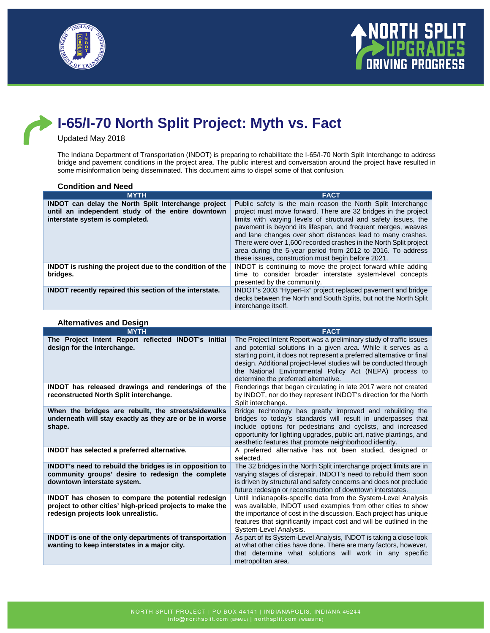



# **I-65/I-70 North Split Project: Myth vs. Fact**

#### Updated May 2018

The Indiana Department of Transportation (INDOT) is preparing to rehabilitate the I-65/I-70 North Split Interchange to address bridge and pavement conditions in the project area. The public interest and conversation around the project have resulted in some misinformation being disseminated. This document aims to dispel some of that confusion.

| <b>Condition and Need</b>                                                                                                                          |                                                                                                                                                                                                                                                                                                                                                                                                                                                                                                                            |
|----------------------------------------------------------------------------------------------------------------------------------------------------|----------------------------------------------------------------------------------------------------------------------------------------------------------------------------------------------------------------------------------------------------------------------------------------------------------------------------------------------------------------------------------------------------------------------------------------------------------------------------------------------------------------------------|
| <b>MYTH</b>                                                                                                                                        | <b>FACT</b>                                                                                                                                                                                                                                                                                                                                                                                                                                                                                                                |
| <b>INDOT</b> can delay the North Split Interchange project<br>until an independent study of the entire downtown<br>interstate system is completed. | Public safety is the main reason the North Split Interchange<br>project must move forward. There are 32 bridges in the project<br>limits with varying levels of structural and safety issues, the<br>pavement is beyond its lifespan, and frequent merges, weaves<br>and lane changes over short distances lead to many crashes.<br>There were over 1,600 recorded crashes in the North Split project<br>area during the 5-year period from 2012 to 2016. To address<br>these issues, construction must begin before 2021. |
| <b>INDOT</b> is rushing the project due to the condition of the<br>bridges.                                                                        | INDOT is continuing to move the project forward while adding<br>time to consider broader interstate system-level concepts<br>presented by the community.                                                                                                                                                                                                                                                                                                                                                                   |
| <b>INDOT</b> recently repaired this section of the interstate.                                                                                     | INDOT's 2003 "HyperFix" project replaced pavement and bridge<br>decks between the North and South Splits, but not the North Split<br>interchange itself.                                                                                                                                                                                                                                                                                                                                                                   |

| <b>MYTH</b>                                                                                                                                            | <b>FACT</b>                                                                                                                                                                                                                                                                                                                                                                             |
|--------------------------------------------------------------------------------------------------------------------------------------------------------|-----------------------------------------------------------------------------------------------------------------------------------------------------------------------------------------------------------------------------------------------------------------------------------------------------------------------------------------------------------------------------------------|
| The Project Intent Report reflected INDOT's initial<br>design for the interchange.                                                                     | The Project Intent Report was a preliminary study of traffic issues<br>and potential solutions in a given area. While it serves as a<br>starting point, it does not represent a preferred alternative or final<br>design. Additional project-level studies will be conducted through<br>the National Environmental Policy Act (NEPA) process to<br>determine the preferred alternative. |
| INDOT has released drawings and renderings of the<br>reconstructed North Split interchange.                                                            | Renderings that began circulating in late 2017 were not created<br>by INDOT, nor do they represent INDOT's direction for the North<br>Split interchange.                                                                                                                                                                                                                                |
| When the bridges are rebuilt, the streets/sidewalks<br>underneath will stay exactly as they are or be in worse<br>shape.                               | Bridge technology has greatly improved and rebuilding the<br>bridges to today's standards will result in underpasses that<br>include options for pedestrians and cyclists, and increased<br>opportunity for lighting upgrades, public art, native plantings, and<br>aesthetic features that promote neighborhood identity.                                                              |
| INDOT has selected a preferred alternative.                                                                                                            | A preferred alternative has not been studied, designed or<br>selected.                                                                                                                                                                                                                                                                                                                  |
| INDOT's need to rebuild the bridges is in opposition to<br>community groups' desire to redesign the complete<br>downtown interstate system.            | The 32 bridges in the North Split interchange project limits are in<br>varying stages of disrepair. INDOT's need to rebuild them soon<br>is driven by structural and safety concerns and does not preclude<br>future redesign or reconstruction of downtown interstates.                                                                                                                |
| INDOT has chosen to compare the potential redesign<br>project to other cities' high-priced projects to make the<br>redesign projects look unrealistic. | Until Indianapolis-specific data from the System-Level Analysis<br>was available, INDOT used examples from other cities to show<br>the importance of cost in the discussion. Each project has unique<br>features that significantly impact cost and will be outlined in the<br>System-Level Analysis.                                                                                   |
| <b>INDOT</b> is one of the only departments of transportation<br>wanting to keep interstates in a major city.                                          | As part of its System-Level Analysis, INDOT is taking a close look<br>at what other cities have done. There are many factors, however,<br>that determine what solutions will work in any specific<br>metropolitan area.                                                                                                                                                                 |

## **Alternatives and Design**